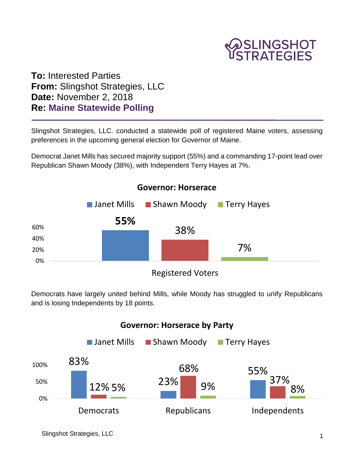

**To:** Interested Parties **From:** Slingshot Strategies, LLC **Date:** November 2, 2018 **Re: Maine Statewide Polling**

Slingshot Strategies, LLC. conducted a statewide poll of registered Maine voters, assessing preferences in the upcoming general election for Governor of Maine.

Democrat Janet Mills has secured majority support (55%) and a commanding 17-point lead over Republican Shawn Moody (38%), with Independent Terry Hayes at 7%.



Democrats have largely united behind Mills, while Moody has struggled to unify Republicans and is losing Independents by 18 points.